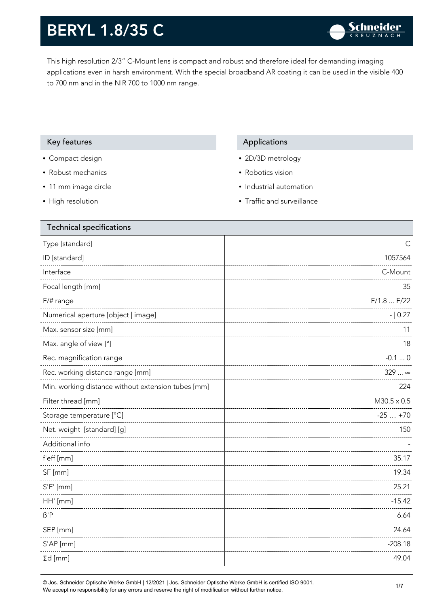This high resolution 2/3" C-Mount lens is compact and robust and therefore ideal for demanding imaging applications even in harsh environment. With the special broadband AR coating it can be used in the visible 400 to 700 nm and in the NIR 700 to 1000 nm range.

#### Key features **Applications** Applications

- Compact design
- Robust mechanics
- 11 mm image circle
- High resolution

- 2D/3D metrology
- Robotics vision
- Industrial automation
- Traffic and surveillance

| <b>Technical specifications</b>                    |                    |
|----------------------------------------------------|--------------------|
| Type [standard]                                    | C                  |
| ID [standard]                                      | 1057564            |
| Interface                                          | C-Mount            |
| Focal length [mm]                                  | 35                 |
| F/# range                                          | F/1.8 F/22         |
| Numerical aperture [object   image]                | $- 0.27$           |
| Max. sensor size [mm]                              | 11                 |
| Max. angle of view [°]                             | 18                 |
| Rec. magnification range                           | $-0.10$            |
| Rec. working distance range [mm]                   | $329$ $\infty$     |
| Min. working distance without extension tubes [mm] | 224                |
| Filter thread [mm]                                 | $M30.5 \times 0.5$ |
| Storage temperature [°C]                           | $-25+70$           |
| Net. weight [standard] [g]                         | 150                |
| Additional info                                    |                    |
| f'eff [mm]                                         | 35.17              |
| SF [mm]                                            | 19.34              |
| $S'F'$ [mm]                                        | 25.21              |
| HH' [mm]                                           | $-15.42$           |
| $\beta'$ P                                         | 6.64               |
| SEP [mm]                                           | 24.64              |
| S'AP [mm]                                          | $-208.18$          |
| $\Sigma d$ [mm]                                    | 49.04              |
|                                                    |                    |

© Jos. Schneider Optische Werke GmbH | 12/2021 | Jos. Schneider Optische Werke GmbH is certified ISO 9001. We accept no responsibility for any errors and reserve the right of modification without further notice.<br>We accept no responsibility for any errors and reserve the right of modification without further notice.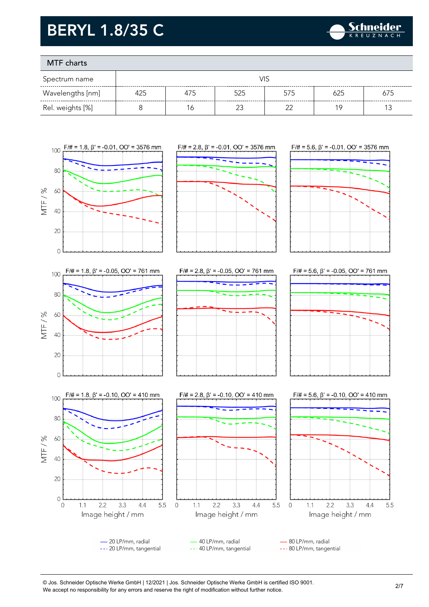

### MTF charts

| Spectrum name    | VIS |     |     |     |     |     |
|------------------|-----|-----|-----|-----|-----|-----|
| Wavelengths [nm] | 425 | 475 | 525 | 575 | 625 | 675 |
| Rel. weights [%] |     |     |     |     | 1 C |     |







80 LP/mm, radial

--- 80 LP/mm, tangential

© Jos. Schneider Optische Werke GmbH | 12/2021 | Jos. Schneider Optische Werke GmbH is certified ISO 9001.

40 LP/mm, radial

--- 40 LP/mm, tangential

We accept no responsibility for any errors and reserve the right of modification without further notice.<br>We accept no responsibility for any errors and reserve the right of modification without further notice.

-20 LP/mm, radial

--- 20 LP/mm, tangential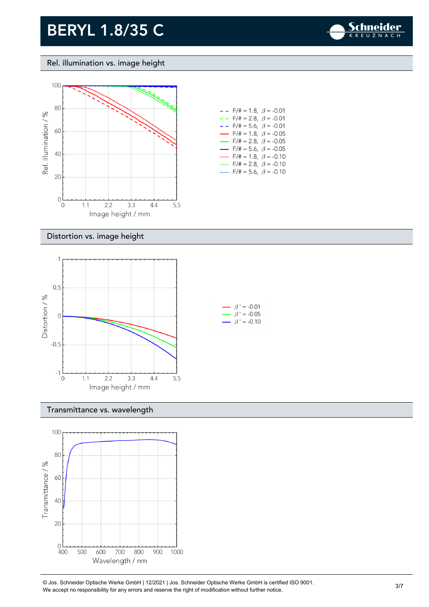

Rel. illumination vs. image height



| - -                      | F/# = 1.8, $\beta$ = -0.01              |  |
|--------------------------|-----------------------------------------|--|
| - -                      | $F/\# = 2.8, \ \ \beta = -0.01$         |  |
| - -                      | $F/\ddot{=} = 5.6, \ \beta = -0.01$     |  |
| $\overline{\phantom{0}}$ | $F/\ddot{\pi} = 1.8, \; \beta = -0.05$  |  |
| $\overline{\phantom{0}}$ | $F/\ddot{\pi} = 2.8, \ \ \beta = -0.05$ |  |
| $\overline{\phantom{0}}$ | $F/\ddot{\pi} = 5.6, \ \ \beta = -0.05$ |  |
|                          | $F/\ddot{=} = 1.8, \ \beta = -0.10$     |  |
|                          | $F/\ddot{}=2.8,~\beta$ = -0.10          |  |
|                          | $F/\ddot{=} = 5.6, \ \beta = -0.10$     |  |

#### Distortion vs. image height



#### Transmittance vs. wavelength



© Jos. Schneider Optische Werke GmbH | 12/2021 | Jos. Schneider Optische Werke GmbH is certified ISO 9001. We accept no responsibility for any errors and reserve the right of modification without further notice.<br>We accept no responsibility for any errors and reserve the right of modification without further notice.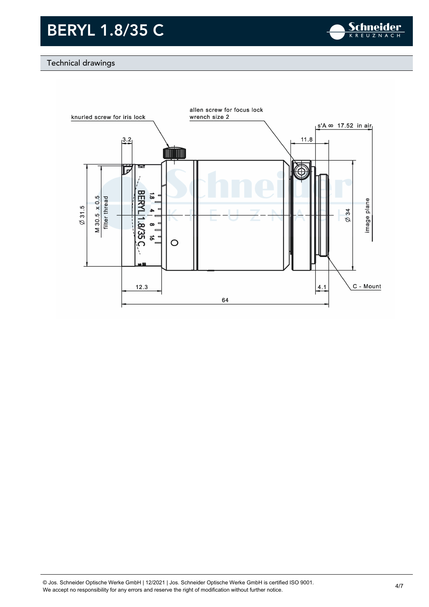

#### Technical drawings

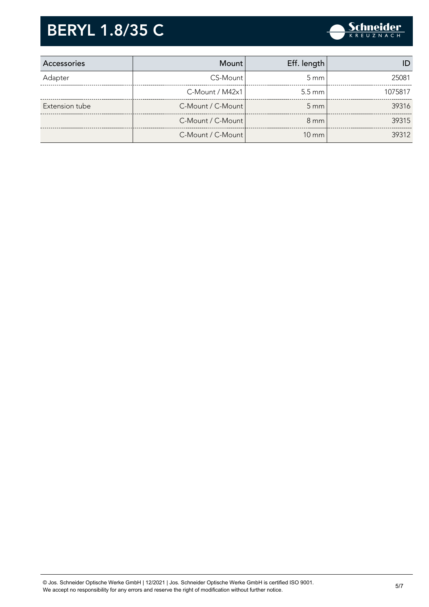

| Accessories    | Mount                | Eff. length        |         |
|----------------|----------------------|--------------------|---------|
| Adapter        | CS-Mount             | $5 \text{ mm}$     | 25081   |
|                | $C-M$ ount / $M42x1$ | $5.5 \text{ mm}$   | 1075817 |
| Extension tube | C-Mount / C-Mount    | $5 \, \mathrm{mm}$ | 39316   |
|                | C-Mount / C-Mount    | $8 \text{ mm}$     | 39315   |
|                | C-Mount / C-Mount    | $10 \text{ mm}$    | 39312   |